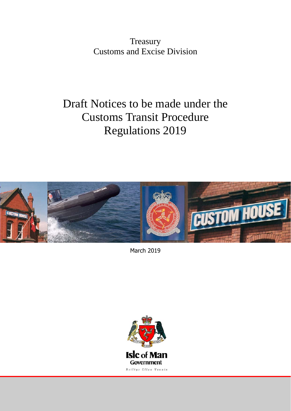**Treasury** Customs and Excise Division

# Draft Notices to be made under the Customs Transit Procedure Regulations 2019



March 2019

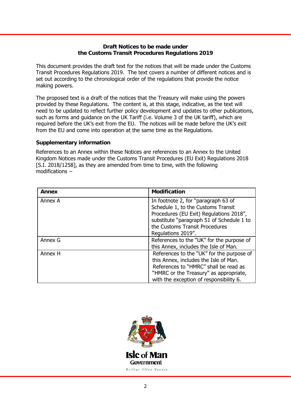## **Draft Notices to be made under the Customs Transit Procedures Regulations 2019**

This document provides the draft text for the notices that will be made under the Customs Transit Procedures Regulations 2019. The text covers a number of different notices and is set out according to the chronological order of the regulations that provide the notice making powers.

The proposed text is a draft of the notices that the Treasury will make using the powers provided by these Regulations. The content is, at this stage, indicative, as the text will need to be updated to reflect further policy development and updates to other publications, such as forms and guidance on the UK Tariff (i.e. Volume 3 of the UK tariff), which are required before the UK's exit from the EU. The notices will be made before the UK's exit from the EU and come into operation at the same time as the Regulations.

## **Supplementary information**

References to an Annex within these Notices are references to an Annex to the United Kingdom Notices made under the Customs Transit Procedures (EU Exit) Regulations 2018 [S.I. 2018/1258], as they are amended from time to time, with the following modifications −

| Annex   | <b>Modification</b>                                                                                                                                                                                                       |
|---------|---------------------------------------------------------------------------------------------------------------------------------------------------------------------------------------------------------------------------|
| Annex A | In footnote 2, for "paragraph 63 of<br>Schedule 1, to the Customs Transit<br>Procedures (EU Exit) Regulations 2018",<br>substitute "paragraph 51 of Schedule 1 to<br>the Customs Transit Procedures<br>Regulations 2019". |
| Annex G | References to the "UK" for the purpose of<br>this Annex, includes the Isle of Man.                                                                                                                                        |
| Annex H | References to the "UK" for the purpose of<br>this Annex, includes the Isle of Man.<br>References to "HMRC" shall be read as<br>"HMRC or the Treasury" as appropriate,<br>with the exception of responsibility 6.          |

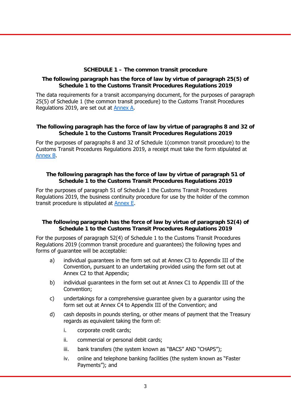## **SCHEDULE 1 – The common transit procedure**

## **The following paragraph has the force of law by virtue of paragraph 25(5) of Schedule 1 to the Customs Transit Procedures Regulations 2019**

The data requirements for a transit accompanying document, for the purposes of paragraph 25(5) of Schedule 1 (the common transit procedure) to the Customs Transit Procedures Regulations 2019, are set out a[t Annex A.](https://assets.publishing.service.gov.uk/government/uploads/system/uploads/attachment_data/file/763155/Annex_A-data.pdf) 

## **The following paragraph has the force of law by virtue of paragraphs 8 and 32 of Schedule 1 to the Customs Transit Procedures Regulations 2019**

For the purposes of paragraphs 8 and 32 of Schedule 1(common transit procedure) to the Customs Transit Procedures Regulations 2019, a receipt must take the form stipulated at [Annex B.](https://assets.publishing.service.gov.uk/government/uploads/system/uploads/attachment_data/file/760830/Annex-B-draft-customs-transit-procedure-eu-exit-regulations-2018.pdf) 

## **The following paragraph has the force of law by virtue of paragraph 51 of Schedule 1 to the Customs Transit Procedures Regulations 2019**

For the purposes of paragraph 51 of Schedule 1 the Customs Transit Procedures Regulations 2019, the business continuity procedure for use by the holder of the common transit procedure is stipulated [at Annex E.](https://assets.publishing.service.gov.uk/government/uploads/system/uploads/attachment_data/file/762627/AnnexE.pdf) 

## **The following paragraph has the force of law by virtue of paragraph 52(4) of Schedule 1 to the Customs Transit Procedures Regulations 2019**

For the purposes of paragraph 52(4) of Schedule 1 to the Customs Transit Procedures Regulations 2019 (common transit procedure and guarantees) the following types and forms of guarantee will be acceptable:

- a) individual guarantees in the form set out at Annex C3 to Appendix III of the Convention, pursuant to an undertaking provided using the form set out at Annex C2 to that Appendix;
- b) individual guarantees in the form set out at Annex C1 to Appendix III of the Convention;
- c) undertakings for a comprehensive guarantee given by a guarantor using the form set out at Annex C4 to Appendix III of the Convention; and
- d) cash deposits in pounds sterling, or other means of payment that the Treasury regards as equivalent taking the form of:
	- i. corporate credit cards;
	- ii. commercial or personal debit cards;
	- iii. bank transfers (the system known as "BACS" AND "CHAPS");
	- iv. online and telephone banking facilities (the system known as "Faster Payments"); and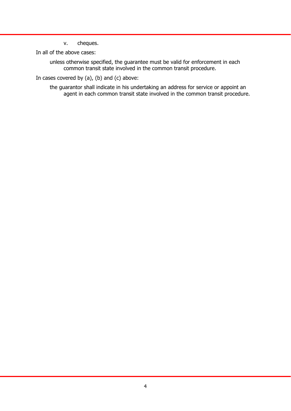v. cheques.

In all of the above cases:

unless otherwise specified, the guarantee must be valid for enforcement in each common transit state involved in the common transit procedure.

In cases covered by (a), (b) and (c) above:

the guarantor shall indicate in his undertaking an address for service or appoint an agent in each common transit state involved in the common transit procedure.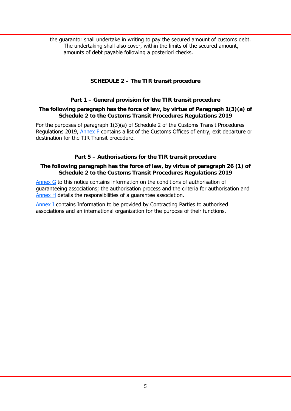the guarantor shall undertake in writing to pay the secured amount of customs debt. The undertaking shall also cover, within the limits of the secured amount, amounts of debt payable following a posteriori checks.

# **SCHEDULE 2 – The TIR transit procedure**

## **Part 1 – General provision for the TIR transit procedure**

#### **The following paragraph has the force of law, by virtue of Paragraph 1(3)(a) of Schedule 2 to the Customs Transit Procedures Regulations 2019**

For the purposes of paragraph 1(3)(a) of Schedule 2 of the Customs Transit Procedures Regulations 2019, [Annex F](https://assets.publishing.service.gov.uk/government/uploads/system/uploads/attachment_data/file/760832/Annex_F-draft-customs-transit-procedure-eu-exit-regulations-2018.pdf) contains a list of the Customs Offices of entry, exit departure or destination for the TIR Transit procedure.

# **Part 5 – Authorisations for the TIR transit procedure**

## **The following paragraph has the force of law, by virtue of paragraph 26 (1) of Schedule 2 to the Customs Transit Procedures Regulations 2019**

[Annex G to](https://assets.publishing.service.gov.uk/government/uploads/system/uploads/attachment_data/file/763157/Annex_G.pdf) this notice contains information on the conditions of authorisation of guaranteeing associations; the authorisation process and the criteria for authorisation and [Annex H](https://assets.publishing.service.gov.uk/government/uploads/system/uploads/attachment_data/file/763159/Annex_H.pdf) details the responsibilities of a guarantee association.

[Annex I c](https://assets.publishing.service.gov.uk/government/uploads/system/uploads/attachment_data/file/763160/Annex_I_.pdf)ontains Information to be provided by Contracting Parties to authorised associations and an international organization for the purpose of their functions.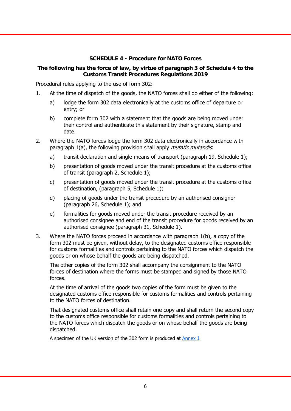# **SCHEDULE 4 - Procedure for NATO Forces**

# **The following has the force of law, by virtue of paragraph 3 of Schedule 4 to the Customs Transit Procedures Regulations 2019**

Procedural rules applying to the use of form 302:

- 1. At the time of dispatch of the goods, the NATO forces shall do either of the following:
	- a) lodge the form 302 data electronically at the customs office of departure or entry; or
	- b) complete form 302 with a statement that the goods are being moved under their control and authenticate this statement by their signature, stamp and date.
- 2. Where the NATO forces lodge the form 302 data electronically in accordance with paragraph 1(a), the following provision shall apply *mutatis mutandis*:
	- a) transit declaration and single means of transport (paragraph 19, Schedule 1);
	- b) presentation of goods moved under the transit procedure at the customs office of transit (paragraph 2, Schedule 1);
	- c) presentation of goods moved under the transit procedure at the customs office of destination, (paragraph 5, Schedule 1);
	- d) placing of goods under the transit procedure by an authorised consignor (paragraph 26, Schedule 1); and
	- e) formalities for goods moved under the transit procedure received by an authorised consignee and end of the transit procedure for goods received by an authorised consignee (paragraph 31, Schedule 1).
- 3. Where the NATO forces proceed in accordance with paragraph 1(b), a copy of the form 302 must be given, without delay, to the designated customs office responsible for customs formalities and controls pertaining to the NATO forces which dispatch the goods or on whose behalf the goods are being dispatched.

The other copies of the form 302 shall accompany the consignment to the NATO forces of destination where the forms must be stamped and signed by those NATO forces.

At the time of arrival of the goods two copies of the form must be given to the designated customs office responsible for customs formalities and controls pertaining to the NATO forces of destination.

That designated customs office shall retain one copy and shall return the second copy to the customs office responsible for customs formalities and controls pertaining to the NATO forces which dispatch the goods or on whose behalf the goods are being dispatched.

A specimen of the UK version of the 302 form is produced at [Annex J.](https://assets.publishing.service.gov.uk/government/uploads/system/uploads/attachment_data/file/760834/Annex_J-draft-customs-transit-procedure-eu-exit-regulations-2018.pdf)